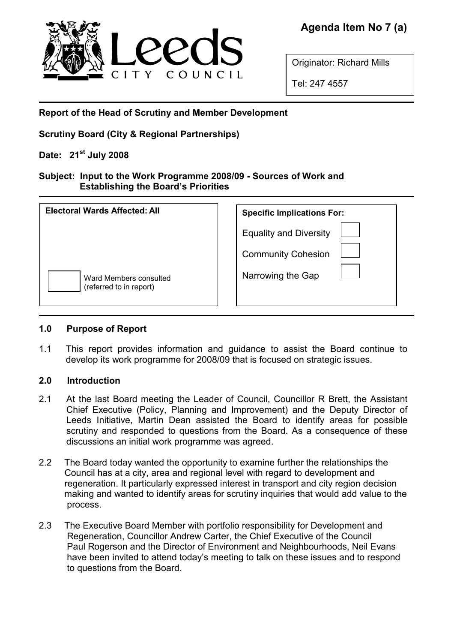

Originator: Richard Mills

Tel: 247 4557

Report of the Head of Scrutiny and Member Development

Scrutiny Board (City & Regional Partnerships)

# Date:  $21^{\text{st}}$  July 2008

## Subject: Input to the Work Programme 2008/09 - Sources of Work and Establishing the Board's Priorities

| Electoral Wards Affected: All                     | <b>Specific Implications For:</b>                          |
|---------------------------------------------------|------------------------------------------------------------|
|                                                   | <b>Equality and Diversity</b><br><b>Community Cohesion</b> |
| Ward Members consulted<br>(referred to in report) | Narrowing the Gap                                          |

# 1.0 Purpose of Report

1.1 This report provides information and guidance to assist the Board continue to develop its work programme for 2008/09 that is focused on strategic issues.

# 2.0 Introduction

- 2.1 At the last Board meeting the Leader of Council, Councillor R Brett, the Assistant Chief Executive (Policy, Planning and Improvement) and the Deputy Director of Leeds Initiative, Martin Dean assisted the Board to identify areas for possible scrutiny and responded to questions from the Board. As a consequence of these discussions an initial work programme was agreed.
- 2.2 The Board today wanted the opportunity to examine further the relationships the Council has at a city, area and regional level with regard to development and regeneration. It particularly expressed interest in transport and city region decision making and wanted to identify areas for scrutiny inquiries that would add value to the process.
- 2.3 The Executive Board Member with portfolio responsibility for Development and Regeneration, Councillor Andrew Carter, the Chief Executive of the Council Paul Rogerson and the Director of Environment and Neighbourhoods, Neil Evans have been invited to attend today's meeting to talk on these issues and to respond to questions from the Board.